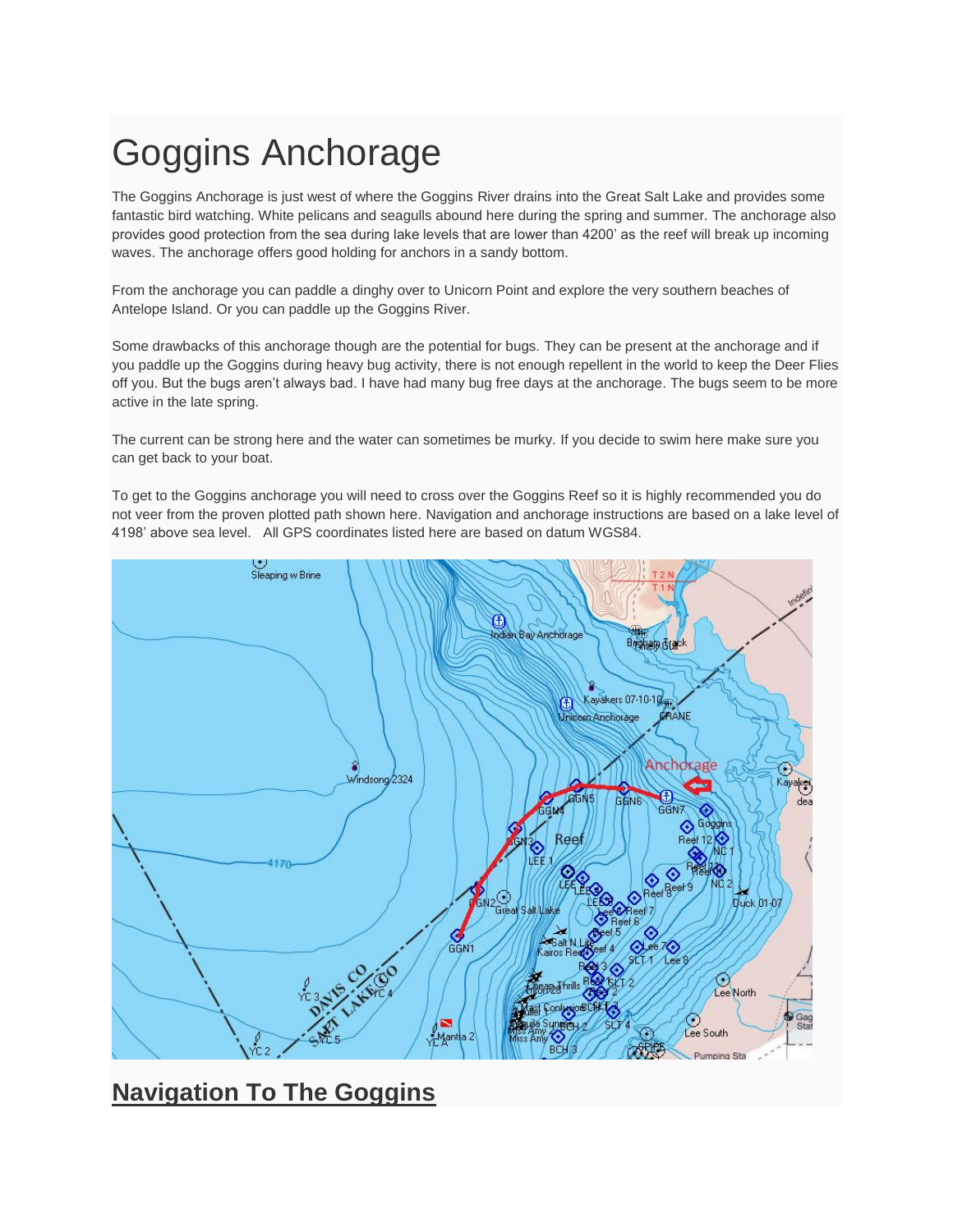# Goggins Anchorage

The Goggins Anchorage is just west of where the Goggins River drains into the Great Salt Lake and provides some fantastic bird watching. White pelicans and seagulls abound here during the spring and summer. The anchorage also provides good protection from the sea during lake levels that are lower than 4200' as the reef will break up incoming waves. The anchorage offers good holding for anchors in a sandy bottom.

From the anchorage you can paddle a dinghy over to Unicorn Point and explore the very southern beaches of Antelope Island. Or you can paddle up the Goggins River.

Some drawbacks of this anchorage though are the potential for bugs. They can be present at the anchorage and if you paddle up the Goggins during heavy bug activity, there is not enough repellent in the world to keep the Deer Flies off you. But the bugs aren't always bad. I have had many bug free days at the anchorage. The bugs seem to be more active in the late spring.

The current can be strong here and the water can sometimes be murky. If you decide to swim here make sure you can get back to your boat.

To get to the Goggins anchorage you will need to cross over the Goggins Reef so it is highly recommended you do not veer from the proven plotted path shown here. Navigation and anchorage instructions are based on a lake level of 4198' above sea level. All GPS coordinates listed here are based on datum WGS84.



## **Navigation To The Goggins**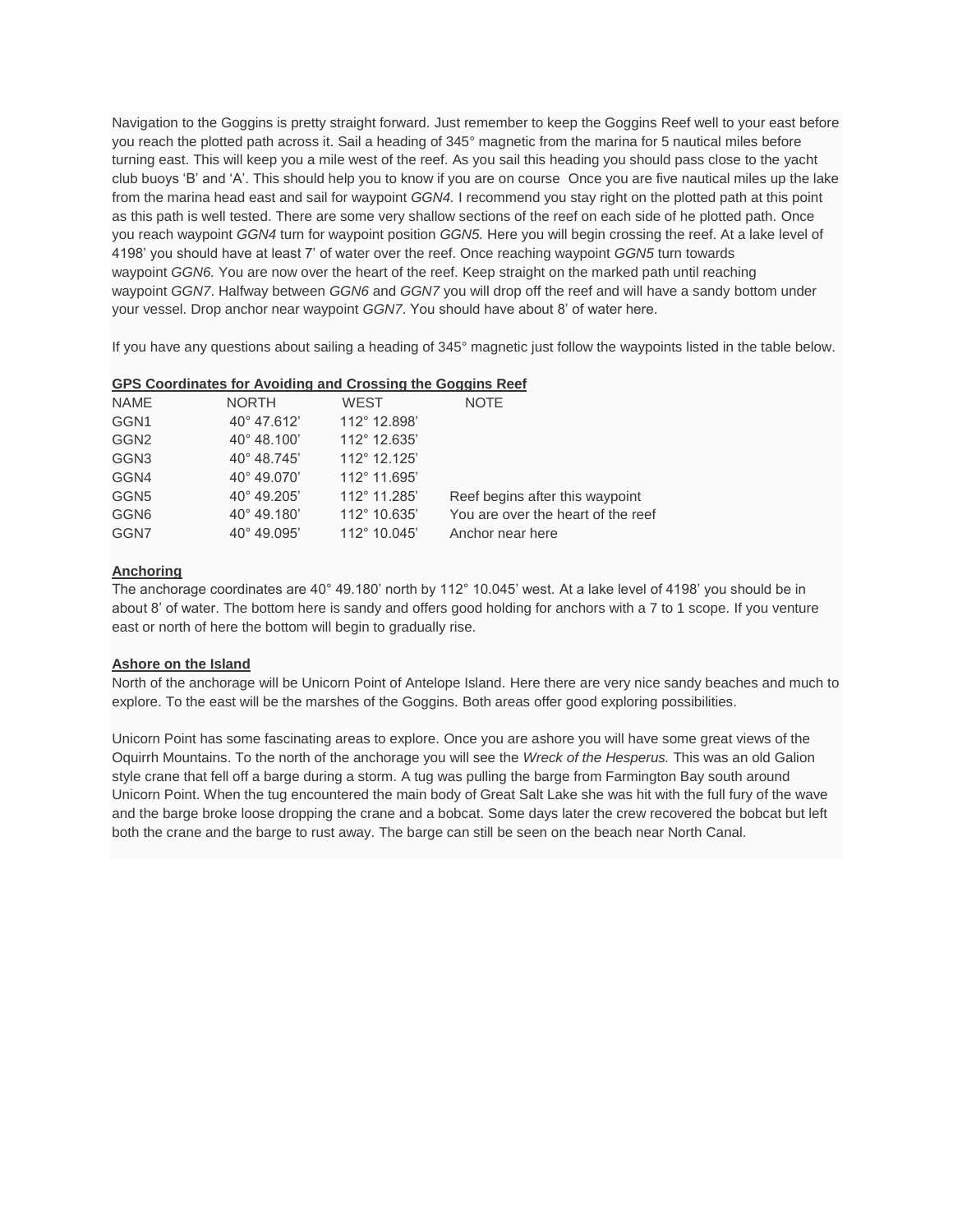Navigation to the Goggins is pretty straight forward. Just remember to keep the Goggins Reef well to your east before you reach the plotted path across it. Sail a heading of 345° magnetic from the marina for 5 nautical miles before turning east. This will keep you a mile west of the reef. As you sail this heading you should pass close to the yacht club buoys 'B' and 'A'. This should help you to know if you are on course Once you are five nautical miles up the lake from the marina head east and sail for waypoint *GGN4.* I recommend you stay right on the plotted path at this point as this path is well tested. There are some very shallow sections of the reef on each side of he plotted path. Once you reach waypoint *GGN4* turn for waypoint position *GGN5.* Here you will begin crossing the reef. At a lake level of 4198' you should have at least 7' of water over the reef. Once reaching waypoint *GGN5* turn towards waypoint *GGN6.* You are now over the heart of the reef. Keep straight on the marked path until reaching waypoint *GGN7*. Halfway between *GGN6* and *GGN7* you will drop off the reef and will have a sandy bottom under your vessel. Drop anchor near waypoint *GGN7*. You should have about 8' of water here.

If you have any questions about sailing a heading of 345° magnetic just follow the waypoints listed in the table below.

|  |  | GPS Coordinates for Avoiding and Crossing the Goggins Reef |  |  |  |  |  |  |  |
|--|--|------------------------------------------------------------|--|--|--|--|--|--|--|
|--|--|------------------------------------------------------------|--|--|--|--|--|--|--|

| <b>NORTH</b>         | <b>WEST</b>  | <b>NOTE</b>                        |
|----------------------|--------------|------------------------------------|
| 40° 47.612'          | 112° 12.898' |                                    |
| 40° 48.100'          | 112° 12.635' |                                    |
| $40^{\circ}$ 48.745' | 112° 12.125' |                                    |
| 40° 49.070'          | 112° 11.695' |                                    |
| $40^{\circ}$ 49.205' | 112° 11.285' | Reef begins after this waypoint    |
| $40^{\circ}$ 49.180' | 112° 10.635' | You are over the heart of the reef |
| $40^{\circ}$ 49.095' | 112° 10.045' | Anchor near here                   |
|                      |              |                                    |

### **Anchoring**

The anchorage coordinates are 40° 49.180' north by 112° 10.045' west. At a lake level of 4198' you should be in about 8' of water. The bottom here is sandy and offers good holding for anchors with a 7 to 1 scope. If you venture east or north of here the bottom will begin to gradually rise.

#### **Ashore on the Island**

North of the anchorage will be Unicorn Point of Antelope Island. Here there are very nice sandy beaches and much to explore. To the east will be the marshes of the Goggins. Both areas offer good exploring possibilities.

Unicorn Point has some fascinating areas to explore. Once you are ashore you will have some great views of the Oquirrh Mountains. To the north of the anchorage you will see the *Wreck of the Hesperus.* This was an old Galion style crane that fell off a barge during a storm. A tug was pulling the barge from Farmington Bay south around Unicorn Point. When the tug encountered the main body of Great Salt Lake she was hit with the full fury of the wave and the barge broke loose dropping the crane and a bobcat. Some days later the crew recovered the bobcat but left both the crane and the barge to rust away. The barge can still be seen on the beach near North Canal.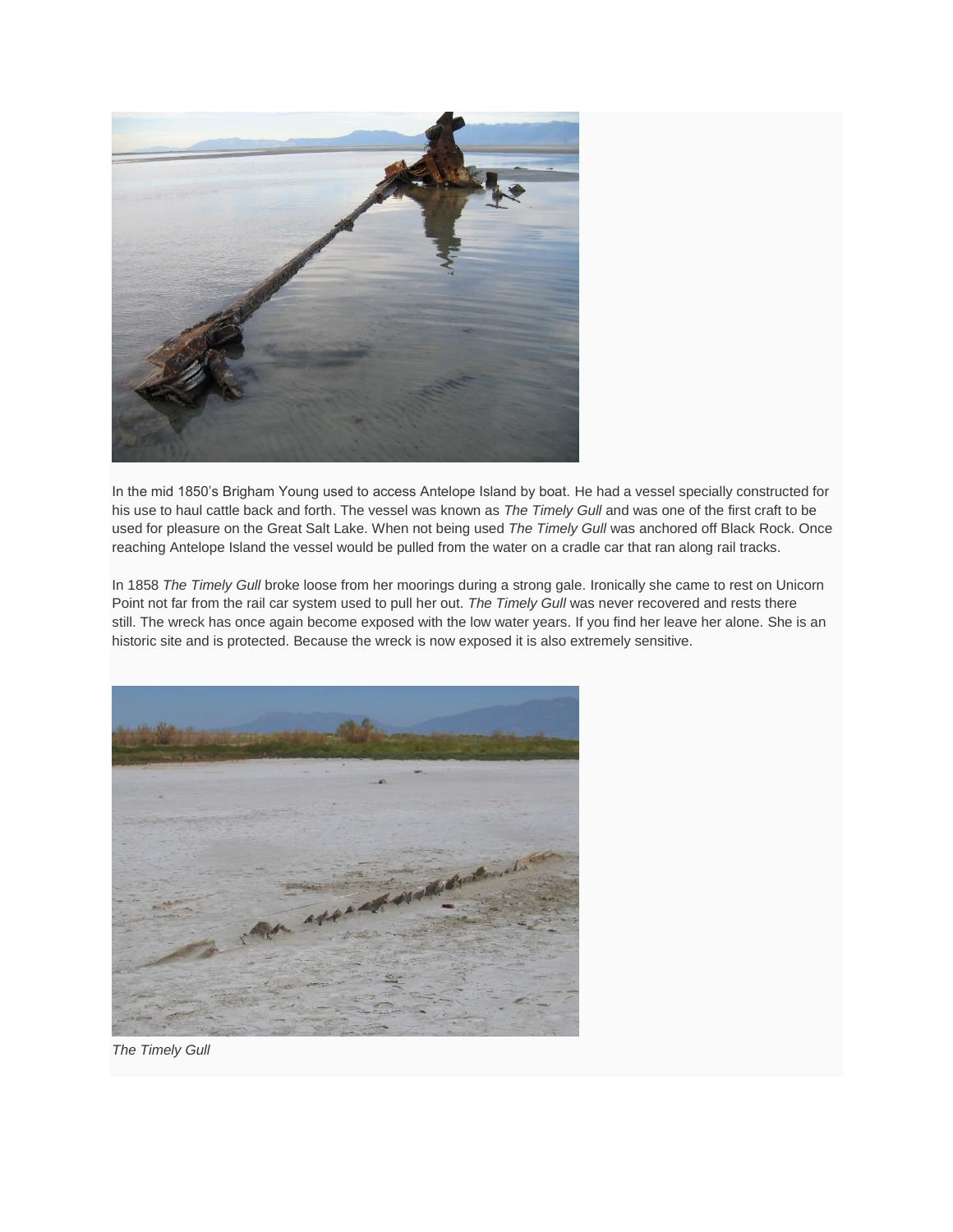

In the mid 1850's Brigham Young used to access Antelope Island by boat. He had a vessel specially constructed for his use to haul cattle back and forth. The vessel was known as *The Timely Gull* and was one of the first craft to be used for pleasure on the Great Salt Lake. When not being used *The Timely Gull* was anchored off Black Rock. Once reaching Antelope Island the vessel would be pulled from the water on a cradle car that ran along rail tracks.

In 1858 *The Timely Gull* broke loose from her moorings during a strong gale. Ironically she came to rest on Unicorn Point not far from the rail car system used to pull her out. *The Timely Gull* was never recovered and rests there still. The wreck has once again become exposed with the low water years. If you find her leave her alone. She is an historic site and is protected. Because the wreck is now exposed it is also extremely sensitive.



*The Timely Gull*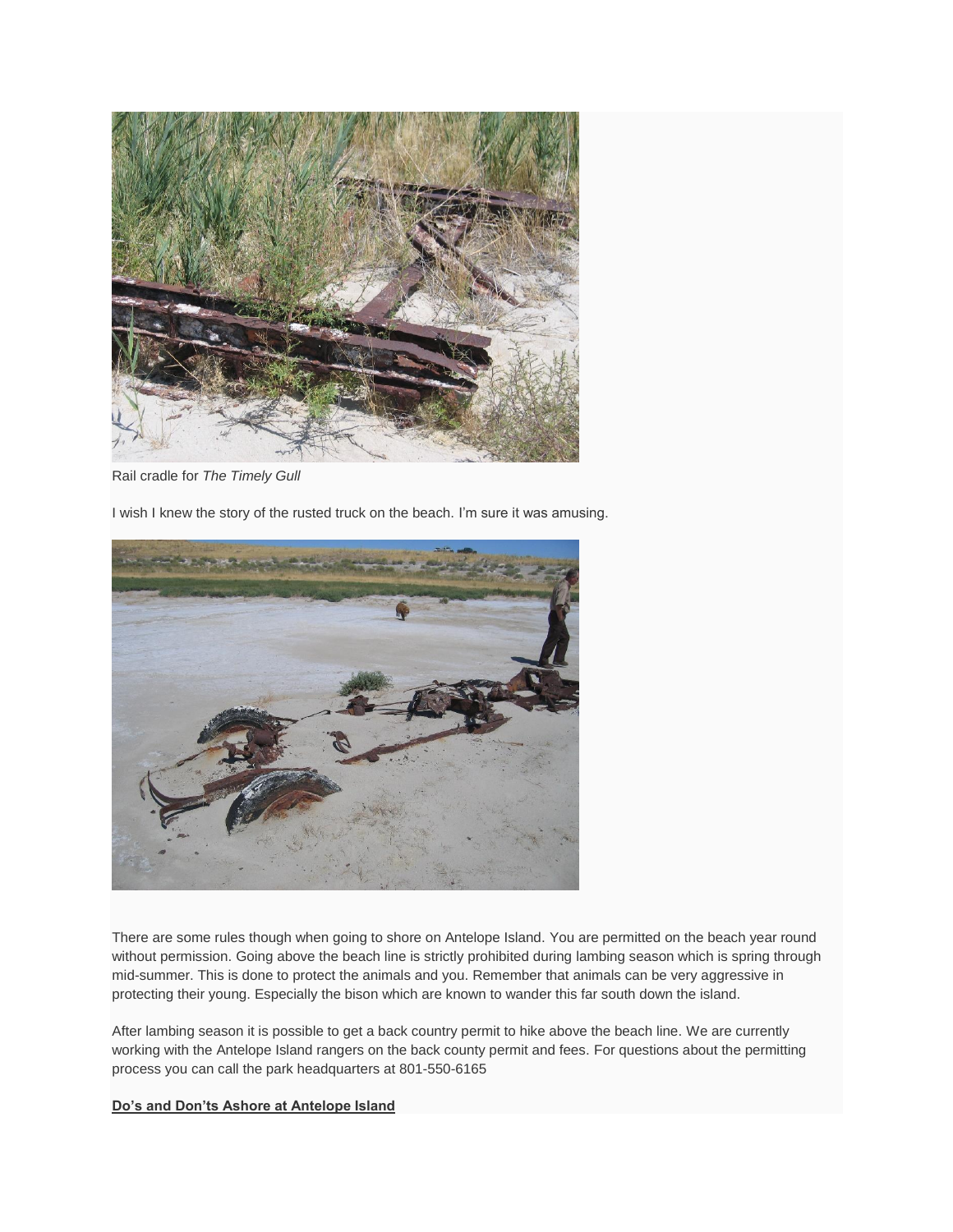

Rail cradle for *The Timely Gull*

I wish I knew the story of the rusted truck on the beach. I'm sure it was amusing.



There are some rules though when going to shore on Antelope Island. You are permitted on the beach year round without permission. Going above the beach line is strictly prohibited during lambing season which is spring through mid-summer. This is done to protect the animals and you. Remember that animals can be very aggressive in protecting their young. Especially the bison which are known to wander this far south down the island.

After lambing season it is possible to get a back country permit to hike above the beach line. We are currently working with the Antelope Island rangers on the back county permit and fees. For questions about the permitting process you can call the park headquarters at 801-550-6165

#### **Do's and Don'ts Ashore at Antelope Island**